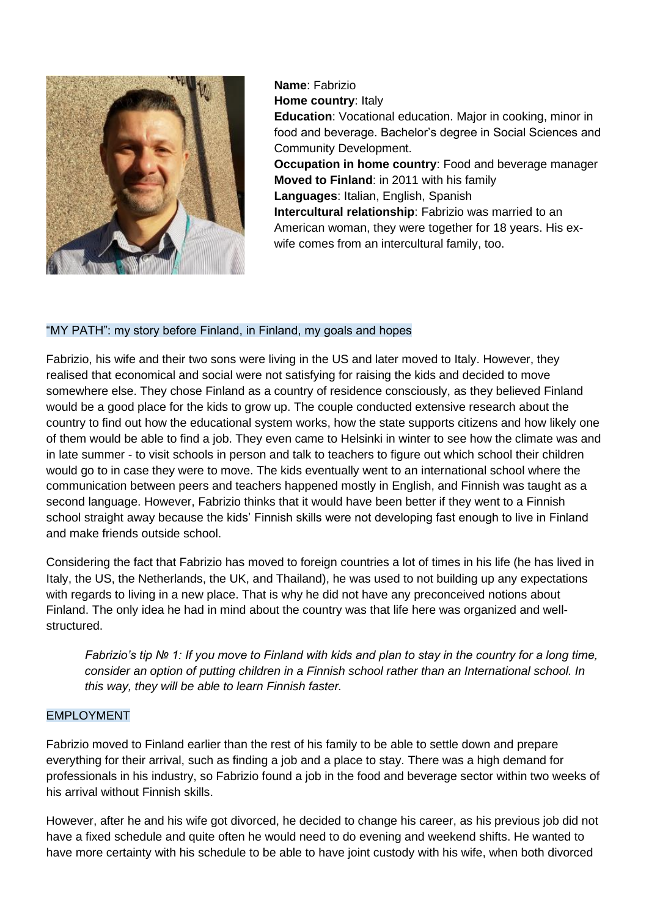

**Name**: Fabrizio **Home country**: Italy **Education**: Vocational education. Major in cooking, minor in food and beverage. Bachelor's degree in Social Sciences and Community Development. **Occupation in home country**: Food and beverage manager **Moved to Finland**: in 2011 with his family **Languages**: Italian, English, Spanish **Intercultural relationship**: Fabrizio was married to an American woman, they were together for 18 years. His exwife comes from an intercultural family, too.

## "MY PATH": my story before Finland, in Finland, my goals and hopes

Fabrizio, his wife and their two sons were living in the US and later moved to Italy. However, they realised that economical and social were not satisfying for raising the kids and decided to move somewhere else. They chose Finland as a country of residence consciously, as they believed Finland would be a good place for the kids to grow up. The couple conducted extensive research about the country to find out how the educational system works, how the state supports citizens and how likely one of them would be able to find a job. They even came to Helsinki in winter to see how the climate was and in late summer - to visit schools in person and talk to teachers to figure out which school their children would go to in case they were to move. The kids eventually went to an international school where the communication between peers and teachers happened mostly in English, and Finnish was taught as a second language. However, Fabrizio thinks that it would have been better if they went to a Finnish school straight away because the kids' Finnish skills were not developing fast enough to live in Finland and make friends outside school.

Considering the fact that Fabrizio has moved to foreign countries a lot of times in his life (he has lived in Italy, the US, the Netherlands, the UK, and Thailand), he was used to not building up any expectations with regards to living in a new place. That is why he did not have any preconceived notions about Finland. The only idea he had in mind about the country was that life here was organized and wellstructured.

*Fabrizio's tip № 1: If you move to Finland with kids and plan to stay in the country for a long time, consider an option of putting children in a Finnish school rather than an International school. In this way, they will be able to learn Finnish faster.* 

## EMPLOYMENT

Fabrizio moved to Finland earlier than the rest of his family to be able to settle down and prepare everything for their arrival, such as finding a job and a place to stay. There was a high demand for professionals in his industry, so Fabrizio found a job in the food and beverage sector within two weeks of his arrival without Finnish skills.

However, after he and his wife got divorced, he decided to change his career, as his previous job did not have a fixed schedule and quite often he would need to do evening and weekend shifts. He wanted to have more certainty with his schedule to be able to have joint custody with his wife, when both divorced